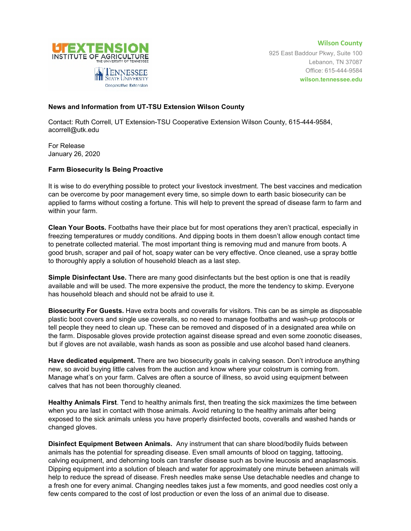

**Wilson County** 925 East Baddour Pkwy, Suite 100 Lebanon, TN 37087 Office: 615-444-9584 **wilson.tennessee.edu**

## **News and Information from UT-TSU Extension Wilson County**

Contact: Ruth Correll, UT Extension-TSU Cooperative Extension Wilson County, 615-444-9584, acorrell@utk.edu

For Release January 26, 2020

## **Farm Biosecurity Is Being Proactive**

It is wise to do everything possible to protect your livestock investment. The best vaccines and medication can be overcome by poor management every time, so simple down to earth basic biosecurity can be applied to farms without costing a fortune. This will help to prevent the spread of disease farm to farm and within your farm.

**Clean Your Boots.** Footbaths have their place but for most operations they aren't practical, especially in freezing temperatures or muddy conditions. And dipping boots in them doesn't allow enough contact time to penetrate collected material. The most important thing is removing mud and manure from boots. A good brush, scraper and pail of hot, soapy water can be very effective. Once cleaned, use a spray bottle to thoroughly apply a solution of household bleach as a last step.

**Simple Disinfectant Use.** There are many good disinfectants but the best option is one that is readily available and will be used. The more expensive the product, the more the tendency to skimp. Everyone has household bleach and should not be afraid to use it.

**Biosecurity For Guests.** Have extra boots and coveralls for visitors. This can be as simple as disposable plastic boot covers and single use coveralls, so no need to manage footbaths and wash-up protocols or tell people they need to clean up. These can be removed and disposed of in a designated area while on the farm. Disposable gloves provide protection against disease spread and even some zoonotic diseases, but if gloves are not available, wash hands as soon as possible and use alcohol based hand cleaners.

**Have dedicated equipment.** There are two biosecurity goals in calving season. Don't introduce anything new, so avoid buying little calves from the auction and know where your colostrum is coming from. Manage what's on your farm. Calves are often a source of illness, so avoid using equipment between calves that has not been thoroughly cleaned.

**Healthy Animals First**. Tend to healthy animals first, then treating the sick maximizes the time between when you are last in contact with those animals. Avoid retuning to the healthy animals after being exposed to the sick animals unless you have properly disinfected boots, coveralls and washed hands or changed gloves.

**Disinfect Equipment Between Animals.** Any instrument that can share blood/bodily fluids between animals has the potential for spreading disease. Even small amounts of blood on tagging, tattooing, calving equipment, and dehorning tools can transfer disease such as bovine leucosis and anaplasmosis. Dipping equipment into a solution of bleach and water for approximately one minute between animals will help to reduce the spread of disease. Fresh needles make sense Use detachable needles and change to a fresh one for every animal. Changing needles takes just a few moments, and good needles cost only a few cents compared to the cost of lost production or even the loss of an animal due to disease.